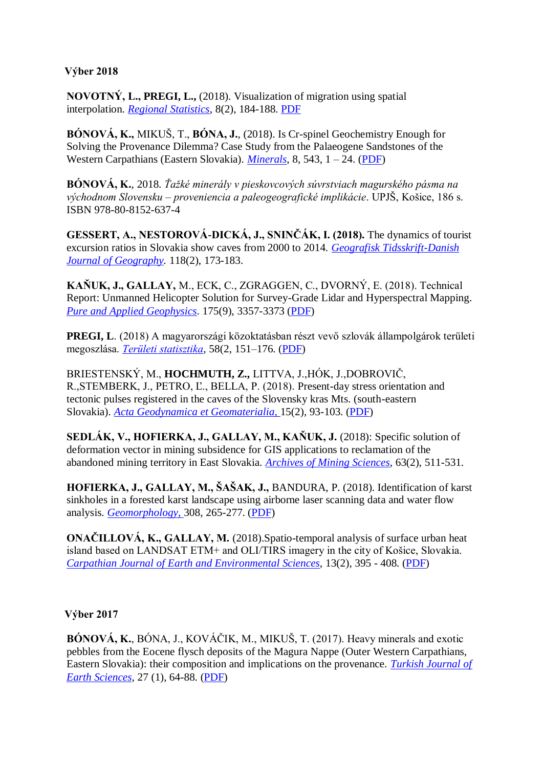#### **Výber 2018**

**NOVOTNÝ, L., PREGI, L.,** (2018). Visualization of migration using spatial interpolation. *[Regional Statistics](https://www.ksh.hu/terstat_eng)*, 8(2), 184-188. [PDF](http://www.ksh.hu/docs/hun/xftp/terstat/2019/rs_novotny_et_al.pdf)

**BÓNOVÁ, K.,** MIKUŠ, T., **BÓNA, J.**, (2018). Is Cr-spinel Geochemistry Enough for Solving the Provenance Dilemma? Case Study from the Palaeogene Sandstones of the Western Carpathians (Eastern Slovakia). *[Minerals](https://www.mdpi.com/2075-163X/8/12/543)*, 8, 543, 1 – 24. [\(PDF\)](https://www.mdpi.com/2075-163X/8/12/543/pdf)

**BÓNOVÁ, K.**, 2018. *Ťažké minerály v pieskovcových súvrstviach magurského pásma na východnom Slovensku – proveniencia a paleogeografické implikácie*. UPJŠ, Košice, 186 s. ISBN 978-80-8152-637-4

**GESSERT, A., NESTOROVÁ-DICKÁ, J., SNINČÁK, I. (2018).** The dynamics of tourist excursion ratios in Slovakia show caves from 2000 to 2014. *[Geografisk Tidsskrift-Danish](https://www.tandfonline.com/doi/abs/10.1080/00167223.2018.1503552)  [Journal of Geography.](https://www.tandfonline.com/doi/abs/10.1080/00167223.2018.1503552)* 118(2), 173-183.

**KAŇUK, J., GALLAY,** M., ECK, C., ZGRAGGEN, C., DVORNÝ, E. (2018). Technical Report: Unmanned Helicopter Solution for Survey-Grade Lidar and Hyperspectral Mapping. *[Pure and Applied Geophysics](https://link.springer.com/journal/24/175/9/page/1)*. 175(9), 3357-3373 [\(PDF\)](https://rdcu.be/NNgB)

**PREGI, L**. (2018) A magyarországi közoktatásban részt vevő szlovák állampolgárok területi megoszlása. *[Területi statisztika](https://www.ksh.hu/terstat_eng?lang=en)*, 58(2, 151–176. [\(PDF\)](http://www.ksh.hu/docs/hun/xftp/terstat/2018/02/ts580202.pdf)

BRIESTENSKÝ, M., **HOCHMUTH, Z.,** LITTVA, J.,HÓK, J.,DOBROVIČ, R.,STEMBERK, J., PETRO, Ľ., BELLA, P. (2018). Present-day stress orientation and tectonic pulses registered in the caves of the Slovensky kras Mts. (south-eastern Slovakia). *[Acta Geodynamica et Geomaterialia,](https://www.irsm.cas.cz/index_en.php?page=acta_detail_doi&id=248)* 15(2), 93-103. [\(PDF\)](https://www.irsm.cas.cz/materialy/acta_content/2018_doi/Briestensky_AGG_2018_0007.pdf)

**SEDLÁK, V., HOFIERKA, J., GALLAY, M., KAŇUK, J.** (2018): Specific solution of deformation vector in mining subsidence for GIS applications to reclamation of the abandoned mining territory in East Slovakia. *[Archives of Mining Sciences,](https://www.degruyter.com/view/j/amsc)* 63(2), 511-531.

**HOFIERKA, J., GALLAY, M., ŠAŠAK, J.,** BANDURA, P. (2018). Identification of karst sinkholes in a forested karst landscape using airborne laser scanning data and water flow analysis. *[Geomorphology,](https://doi.org/10.1016/j.geomorph.2018.02.004)* 308, 265-277. [\(PDF\)](https://doi.org/10.1016/j.geomorph.2018.02.004)

**ONAČILLOVÁ, K., GALLAY, M.** (2018).Spatio-temporal analysis of surface urban heat island based on LANDSAT ETM+ and OLI/TIRS imagery in the city of Košice, Slovakia. *[Carpathian Journal of Earth and Environmental Sciences,](http://www.cjees.ro/)* 13(2), 395 - 408. [\(PDF\)](http://www.cjees.ro/actions/actionDownload.php?fileId=1228)

## **Výber 2017**

**BÓNOVÁ, K.**, BÓNA, J., KOVÁČIK, M., MIKUŠ, T. (2017). Heavy minerals and exotic pebbles from the Eocene flysch deposits of the Magura Nappe (Outer Western Carpathians, Eastern Slovakia): their composition and implications on the provenance. *[Turkish Journal of](http://journals.tubitak.gov.tr/earth/abstract.htm?id=21804)  [Earth Sciences,](http://journals.tubitak.gov.tr/earth/abstract.htm?id=21804)* 27 (1), 64-88. [\(PDF\)](http://online.journals.tubitak.gov.tr/openInPressDocument.htm?fileID=903073&no=168157&fileType=Report%20Document)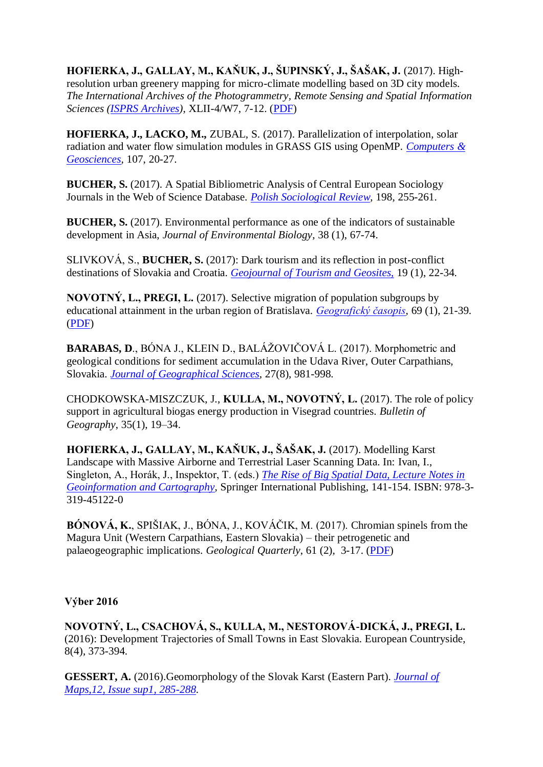**HOFIERKA, J., GALLAY, M., KAŇUK, J., ŠUPINSKÝ, J., ŠAŠAK, J.** (2017). Highresolution urban greenery mapping for micro-climate modelling based on 3D city models. *The International Archives of the Photogrammetry, Remote Sensing and Spatial Information Sciences (ISPRS [Archives\)](https://www.int-arch-photogramm-remote-sens-spatial-inf-sci.net/XLII-4-W7/7/2017/)*, XLII-4/W7, 7-12. [\(PDF\)](https://www.int-arch-photogramm-remote-sens-spatial-inf-sci.net/XLII-4-W7/7/2017/isprs-archives-XLII-4-W7-7-2017.pdf)

**HOFIERKA, J., LACKO, M.,** ZUBAL, S. (2017). Parallelization of interpolation, solar radiation and water flow simulation modules in GRASS GIS using OpenMP. *[Computers &](https://doi.org/10.1016/j.cageo.2017.07.007)  [Geosciences,](https://doi.org/10.1016/j.cageo.2017.07.007)* 107, 20-27.

**BUCHER, S.** (2017). A Spatial Bibliometric Analysis of Central European Sociology Journals in the Web of Science Database. *[Polish Sociological Review,](http://polish-sociological-review.eu/index.php/psr1982017/)* 198, 255-261.

**BUCHER, S.** (2017). Environmental performance as one of the indicators of sustainable development in Asia, *[Journal of Environmental Biology](http://www.jeb.co.in/journal_issues/201701_jan17/paper_09.pdf)*, 38 (1), 67-74.

SLIVKOVÁ, S., **BUCHER, S.** (2017): Dark tourism and its reflection in post-conflict destinations of Slovakia and Croatia. *[Geojournal of Tourism and Geosites,](https://www.scopus.com/record/display.uri?eid=2-s2.0-85020096957&origin=resultslist&sort=plf-f&src=s&sid=9B4BC80C17DAB38F548FAA132CF646A5.wsnAw8kcdt7IPYLO0V48gA%3a290&sot=autdocs&sdt=autdocs&sl=18&s=AU-ID%2855391305000%29&relpos=1&citeCnt=0&searchTerm=)* 19 (1), 22-34.

**NOVOTNÝ, L., PREGI, L.** (2017). Selective migration of population subgroups by educational attainment in the urban region of Bratislava. *[Geografický časopis,](https://www.sav.sk/index.php?lang=sk&doc=journal-list&part=list_articles&journal_issue_no=11114137)* 69 (1), 21-39. [\(PDF\)](https://www.sav.sk/journals/uploads/06071200Novotny,%20Pregi.pdf)

**BARABAS, D**., BÓNA J., KLEIN D., BALÁŽOVIČOVÁ L. (2017). Morphometric and geological conditions for sediment accumulation in the Udava River, Outer Carpathians, Slovakia. *[Journal of Geographical Sciences](http://link.springer.com/journal/11442)*, 27(8), 981-998.

CHODKOWSKA-MISZCZUK, J., **KULLA, M., NOVOTNÝ, L.** (2017). The role of policy support in agricultural biogas energy production in Visegrad countries. *[Bulletin of](https://www.degruyter.com/view/j/bog)  [Geography](https://www.degruyter.com/view/j/bog)*, 35(1), 19–34.

**HOFIERKA, J., GALLAY, M., KAŇUK, J., ŠAŠAK, J.** (2017). Modelling Karst Landscape with Massive Airborne and Terrestrial Laser Scanning Data. In: Ivan, I., Singleton, A., Horák, J., Inspektor, T. (eds.) *[The Rise of Big Spatial Data, Lecture Notes in](http://www.springer.com/gp/book/9783319451220)  [Geoinformation and Cartography](http://www.springer.com/gp/book/9783319451220)*, Springer International Publishing, 141-154. ISBN: 978-3- 319-45122-0

**BÓNOVÁ, K.**, SPIŠIAK, J., BÓNA, J., KOVÁČIK, M. (2017). Chromian spinels from the Magura Unit (Western Carpathians, Eastern Slovakia) – their petrogenetic and palaeogeographic implications. *[Geological Quarterly](https://gq.pgi.gov.pl/article/view/25357)*, 61 (2), 3-17. [\(PDF\)](https://gq.pgi.gov.pl/article/view/25357/pdf_1287)

## **Výber 2016**

**NOVOTNÝ, L., CSACHOVÁ, S., KULLA, M., NESTOROVÁ-DICKÁ, J., PREGI, L.** (2016): Development Trajectories of Small Towns in East Slovakia. European Countryside, 8(4), 373-394.

**GESSERT, A.** (2016).Geomorphology of the Slovak Karst (Eastern Part). *[Journal of](http://www.tandfonline.com/doi/full/10.1080/17445647.2016.1202874)  [Maps,12, Issue sup1, 285-288](http://www.tandfonline.com/doi/full/10.1080/17445647.2016.1202874)*.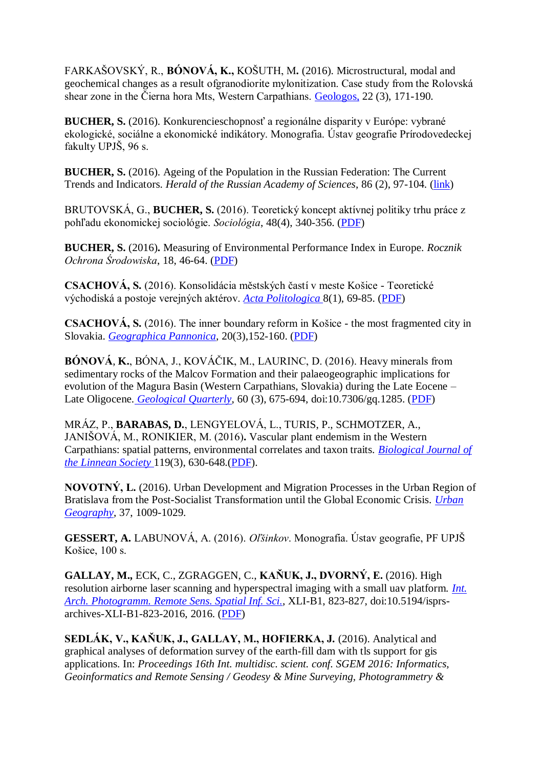FARKAŠOVSKÝ, R., **BÓNOVÁ, K.,** KOŠUTH, M**.** (2016). Microstructural, modal and geochemical changes as a result ofgranodiorite mylonitization. Case study from the Rolovská shear zone in the Čierna hora Mts, Western Carpathians. [Geologos,](http://www.geologos.com.pl/pdf/Geologos-22-3-Farkasovsky.pdf) 22 (3), 171-190.

**BUCHER, S.** (2016). Konkurencieschopnosť a regionálne disparity v Európe: vybrané ekologické, sociálne a ekonomické indikátory. Monografia. Ústav geografie Prírodovedeckej fakulty UPJŠ, 96 s.

**BUCHER, S.** (2016). Ageing of the Population in the Russian Federation: The Current Trends and Indicators. *Herald of the Russian Academy of Sciences*, 86 (2), 97-104. [\(link\)](http://link.springer.com/article/10.1134/S1019331616020027)

BRUTOVSKÁ, G., **BUCHER, S.** (2016). Teoretický koncept aktívnej politiky trhu práce z pohľadu ekonomickej sociológie. *Sociológia*, 48(4), 340-356. [\(PDF\)](https://www.sav.sk/journals/uploads/09061218Brutovska%20-%20Bucher%20OK%20opravene%20autormi.pdf)

**BUCHER, S.** (2016)**.** Measuring of Environmental Performance Index in Europe. *Rocznik Ochrona Środowiska*, 18, 46-64. [\(PDF\)](https://uge-old.science.upjs.sk/%20http:/ros.edu.pl/images/roczniki/2016/003_ROS_V18_R2016.pdf)

**CSACHOVÁ, S.** (2016). Konsolidácia městských častí v meste Košice - Teoretické východiská a postoje verejných aktérov. *[Acta Politologica](https://acpo.fsv.cuni.cz/ACPONEN-1.html)* 8(1), 69-85. [\(PDF\)](http://acpo.vedeckecasopisy.cz/publicFiles/00988.pdf)

**CSACHOVÁ, S.** (2016). The inner boundary reform in Košice - the most fragmented city in Slovakia. *[Geographica Pannonica,](http://www.dgt.uns.ac.rs/pannonica.html)* 20(3),152-160. [\(PDF\)](http://www.dgt.uns.ac.rs/pannonica/papers/volume20_3_3.pdf.)

**BÓNOVÁ**, **K.**, BÓNA, J., KOVÁČIK, M., LAURINC, D. (2016). Heavy minerals from sedimentary rocks of the Malcov Formation and their palaeogeographic implications for evolution of the Magura Basin (Western Carpathians, Slovakia) during the Late Eocene – Late Oligocene. *[Geological Quarterly](https://gq.pgi.gov.pl/article/view/24909)*, 60 (3), 675-694, doi:10.7306/gq.1285. [\(PDF\)](https://gq.pgi.gov.pl/article/download/24909/pdf_1280)

MRÁZ, P., **BARABAS, D.**, LENGYELOVÁ, L., TURIS, P., SCHMOTZER, A., JANIŠOVÁ, M., RONIKIER, M. (2016)**.** Vascular plant endemism in the Western Carpathians: spatial patterns, environmental correlates and taxon traits. *[Biological Journal of](http://onlinelibrary.wiley.com/journal/10.1111/%28ISSN%291095-8312)  [the Linnean Society](http://onlinelibrary.wiley.com/journal/10.1111/%28ISSN%291095-8312)* 119(3), 630-648.[\(PDF\)](http://onlinelibrary.wiley.com/doi/10.1111/bij.12792/pdf).

**NOVOTNÝ, L.** (2016). Urban Development and Migration Processes in the Urban Region of Bratislava from the Post-Socialist Transformation until the Global Economic Crisis. *[Urban](http://www.tandfonline.com/loi/rurb20#.Vk2ZxL_EHCs)  [Geography](http://www.tandfonline.com/loi/rurb20#.Vk2ZxL_EHCs)*, 37, 1009-1029.

**GESSERT, A.** LABUNOVÁ, A. (2016). *Oľšinkov*. Monografia. Ústav geografie, PF UPJŠ Košice, 100 s.

**GALLAY, M.,** ECK, C., ZGRAGGEN, C., **KAŇUK, J., DVORNÝ, E.** (2016). High resolution airborne laser scanning and hyperspectral imaging with a small uav platform. *[Int.](http://www.int-arch-photogramm-remote-sens-spatial-inf-sci.net/XLI-B1/823/2016/)  [Arch. Photogramm. Remote Sens. Spatial Inf. Sci.](http://www.int-arch-photogramm-remote-sens-spatial-inf-sci.net/XLI-B1/823/2016/)*, XLI-B1, 823-827, doi:10.5194/isprsarchives-XLI-B1-823-2016, 2016. [\(PDF\)](http://www.int-arch-photogramm-remote-sens-spatial-inf-sci.net/XLI-B1/823/2016/isprs-archives-XLI-B1-823-2016.pdf)

**SEDLÁK, V., KAŇUK, J., GALLAY, M., HOFIERKA, J.** (2016). Analytical and graphical analyses of deformation survey of the earth-fill dam with tls support for gis applications. In: *Proceedings 16th Int. multidisc. scient. conf. SGEM 2016: Informatics, Geoinformatics and Remote Sensing / Geodesy & Mine Surveying, Photogrammetry &*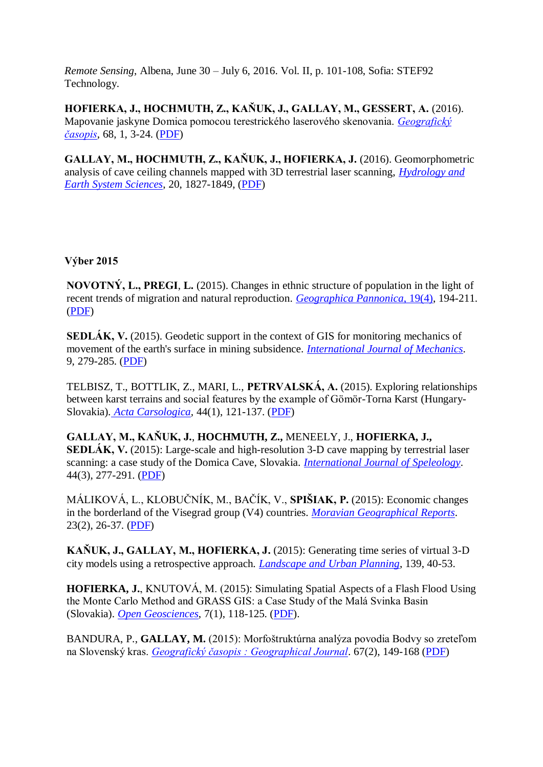*Remote Sensing*, Albena, June 30 – July 6, 2016. Vol. II, p. 101-108, Sofia: STEF92 Technology.

**HOFIERKA, J., HOCHMUTH, Z., KAŇUK, J., GALLAY, M., GESSERT, A.** (2016). Mapovanie jaskyne Domica pomocou terestrického laserového skenovania. *[Geografický](https://www.sav.sk/index.php?lang=sk&doc=journal-list&part=list_articles&journal_issue_no=11113829)  [časopis](https://www.sav.sk/index.php?lang=sk&doc=journal-list&part=list_articles&journal_issue_no=11113829)*, 68, 1, 3-24. [\(PDF\)](https://www.sav.sk/journals/uploads/05031254Hofierka%20et%20al..pub.pdf)

**GALLAY, M., HOCHMUTH, Z., KAŇUK, J., HOFIERKA, J.** (2016). Geomorphometric analysis of cave ceiling channels mapped with 3D terrestrial laser scanning, *[Hydrology and](http://www.hydrol-earth-syst-sci.net/20/1827/2016/)  [Earth System Sciences](http://www.hydrol-earth-syst-sci.net/20/1827/2016/)*, 20, 1827-1849, [\(PDF\)](http://www.hydrol-earth-syst-sci.net/20/1827/2016/hess-20-1827-2016.pdf)

# **Výber 2015**

**NOVOTNÝ, L., PREGI**, **L.** (2015). Changes in ethnic structure of population in the light of recent trends of migration and natural reproduction. *[Geographica Pannonica](http://www.dgt.uns.ac.rs/pannonica/volumes/volume19_4.htm)*, 19(4), 194-211. [\(PDF\)](http://www.dgt.uns.ac.rs/pannonica/papers/volume19_4_5.pdf)

**SEDLÁK, V.** (2015). Geodetic support in the context of GIS for monitoring mechanics of movement of the earth's surface in mining subsidence. *[International Journal of Mechanics](http://naun.org/cms.action?id=2828)*. 9, 279-285. [\(PDF\)](http://www.naun.org/main/NAUN/mechanics/2015/a662003-159.pdf)

TELBISZ, T., BOTTLIK, Z., MARI, L., **PETRVALSKÁ, A.** (2015). Exploring relationships between karst terrains and social features by the example of Gömör-Torna Karst (Hungary-Slovakia)*. [Acta Carsologica,](http://ojs.zrc-sazu.si/carsologica/article/view/1739)* 44(1), 121-137. [\(PDF\)](http://ojs.zrc-sazu.si/carsologica/article/view/1739)

**GALLAY, M., KAŇUK, J.**, **HOCHMUTH, Z.,** MENEELY, J., **HOFIERKA, J., SEDLÁK, V.** (2015): Large-scale and high-resolution 3-D cave mapping by terrestrial laser scanning: a case study of the Domica Cave, Slovakia. *[International Journal of Speleology](http://scholarcommons.usf.edu/ijs/)*. 44(3), 277-291. [\(PDF\)](http://scholarcommons.usf.edu/ijs/vol44/iss3/6)

MÁLIKOVÁ, L., KLOBUČNÍK, M., BAČÍK, V., **SPIŠIAK, P.** (2015): Economic changes in the borderland of the Visegrad group (V4) countries. *[Moravian Geographical Reports](http://www.geonika.cz/CZ/CZresearch/CZMgr.html)*. 23(2), 26-37. [\(PDF\)](http://www.geonika.cz/EN/research/ENMgr/MGR_2015_02.pdf)

**KAŇUK, J., GALLAY, M., HOFIERKA, J.** (2015): Generating time series of virtual 3-D city models using a retrospective approach. *[Landscape and Urban Planning](http://www.sciencedirect.com/science/article/pii/S0169204615000468)*, 139, 40-53.

**HOFIERKA, J.**, KNUTOVÁ, M. (2015): Simulating Spatial Aspects of a Flash Flood Using the Monte Carlo Method and GRASS GIS: a Case Study of the Malá Svinka Basin (Slovakia). *[Open Geosciences](http://www.degruyter.com/view/j/geo.2015.7.issue-1/geo-2015-0013/geo-2015-0013.xml?format=INT)*, 7(1), 118-125. [\(PDF\)](http://www.degruyter.com/dg/viewarticle.fullcontentlink:pdfeventlink/$002fj$002fgeo.2015.7.issue-1$002fgeo-2015-0013$002fgeo-2015-0013.pdf?format=INT&t:ac=j$002fgeo.2015.7.issue-1$002fgeo-2015-0013$002fgeo-2015-0013.xml).

BANDURA, P., **GALLAY, M.** (2015): Morfoštruktúrna analýza povodia Bodvy so zreteľom na Slovenský kras. *[Geografický časopis : Geographical Journal](http://www.sav.sk/index.php?lang=sk&charset=&doc=journal-list&part=list_articles&journal_issue_no=11113683)*. 67(2), 149-168 [\(PDF\)](http://www.sav.sk/journals/uploads/07091046Bandura,%20Gallay.pdf)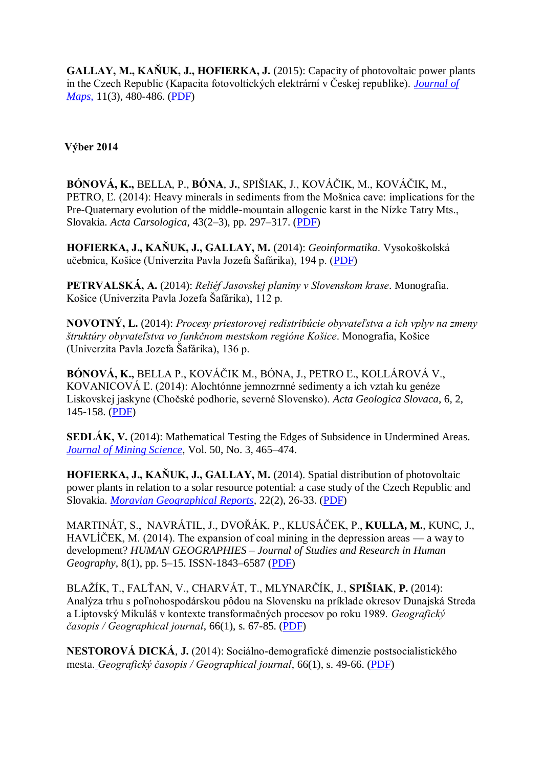**GALLAY, M., KAŇUK, J., HOFIERKA, J.** (2015): Capacity of photovoltaic power plants in the Czech Republic (Kapacita fotovoltických elektrární v Českej republike). *[Journal of](http://www.tandfonline.com/toc/tjom20/11/3#.VOO_By7EGVA)  [Maps,](http://www.tandfonline.com/toc/tjom20/11/3#.VOO_By7EGVA)* 11(3), 480-486. [\(PDF\)](http://www.tandfonline.com/doi/full/10.1080/17445647.2014.935498#abstract)

**Výber 2014**

**BÓNOVÁ, K.,** BELLA, P., **BÓNA**, **J.**, SPIŠIAK, J., KOVÁČIK, M., KOVÁČIK, M., PETRO, Ľ. (2014): Heavy minerals in sediments from the Mošnica cave: implications for the Pre-Quaternary evolution of the middle-mountain allogenic karst in the Nízke Tatry Mts., Slovakia. *Acta Carsologica*, 43(2–3), pp. 297–317. [\(PDF\)](http://ojs.zrc-sazu.si/carsologica/article/view/653)

**HOFIERKA, J., KAŇUK, J., GALLAY, M.** (2014): *[Geoinformatika](http://web.science.upjs.sk/hofierka/geoinformatika.zip)*. Vysokoškolská učebnica, Košice (Univerzita Pavla Jozefa Šafárika), 194 p. [\(PDF\)](http://web.science.upjs.sk/hofierka/geoinformatika.zip)

**PETRVALSKÁ, A.** (2014): *Reliéf Jasovskej planiny v Slovenskom krase*. Monografia. Košice (Univerzita Pavla Jozefa Šafárika), 112 p.

**NOVOTNÝ, L.** (2014): *Procesy priestorovej redistribúcie obyvateľstva a ich vplyv na zmeny štruktúry obyvateľstva vo funkčnom mestskom regióne Košice*. Monografia, Košice (Univerzita Pavla Jozefa Šafárika), 136 p.

**BÓNOVÁ, K.,** BELLA P., KOVÁČIK M., BÓNA, J., PETRO Ľ., KOLLÁROVÁ V., KOVANICOVÁ Ľ. (2014): Alochtónne jemnozrnné sedimenty a ich vztah ku genéze Liskovskej jaskyne (Chočské podhorie, severné Slovensko). *[Acta Geologica Slovaca](http://www.geopaleo.fns.uniba.sk/ageos/articles/abstract.php?path=bonova_et_al&vol=6&iss=2)*, 6, 2, 145-158. [\(PDF\)](http://www.geopaleo.fns.uniba.sk/ageos/articles/bytea.php?path=bonova_et_al&vol=6&iss=2)

**SEDLÁK, V.** (2014): Mathematical Testing the Edges of Subsidence in Undermined Areas. *[Journal of Mining Science](http://www.springer.com/earth+sciences+and+geography/environmental+science+%26+engineering/journal/10913)*, Vol. 50, No. 3, 465–474.

**HOFIERKA, J., KAŇUK, J., GALLAY, M.** (2014). Spatial distribution of photovoltaic power plants in relation to a solar resource potential: a case study of the Czech Republic and Slovakia. *[Moravian Geographical Reports,](http://www.geonika.cz/CZ/CZresearch/CZMgr.html)* 22(2), 26-33. [\(PDF\)](http://www.geonika.cz/EN/research/ENMgr/MGR_2014_02.pdf)

MARTINÁT, S., NAVRÁTIL, J., DVOŘÁK, P., KLUSÁČEK, P., **KULLA, M.**, KUNC, J., HAVLÍČEK, M. (2014). The expansion of coal mining in the depression areas — a way to development? *HUMAN GEOGRAPHIES – [Journal of Studies and Research in Human](http://www.humangeographies.org.ro/)  [Geography](http://www.humangeographies.org.ro/)*, 8(1), pp. 5–15. ISSN-1843–6587 [\(PDF\)](http://www.humangeographies.org.ro/volume-8-issue-1-2014/811-abstract)

BLAŽÍK, T., FALŤAN, V., CHARVÁT, T., MLYNARČÍK, J., **SPIŠIAK**, **P.** (2014): Analýza trhu s poľnohospodárskou pôdou na Slovensku na príklade okresov Dunajská Streda a Liptovský Mikuláš v kontexte transformačných procesov po roku 1989. *[Geografický](http://www.sav.sk/index.php?lang=sk&charset=&doc=journal&journal_no=9)  [časopis / Geographical journal](http://www.sav.sk/index.php?lang=sk&charset=&doc=journal&journal_no=9)*, 66(1), s. 67-85. [\(PDF\)](http://www.sav.sk/journals/uploads/05151056Blazik%20et%20al..pdf)

**NESTOROVÁ DICKÁ**, **J.** (2014): Sociálno-demografické dimenzie postsocialistického mesta. *[Geografický časopis / Geographical journal](http://www.sav.sk/index.php?lang=sk&charset=&doc=journal&journal_no=9)*, 66(1), s. 49-66. [\(PDF\)](http://www.sav.sk/journals/uploads/05151006Dicka.pdf)